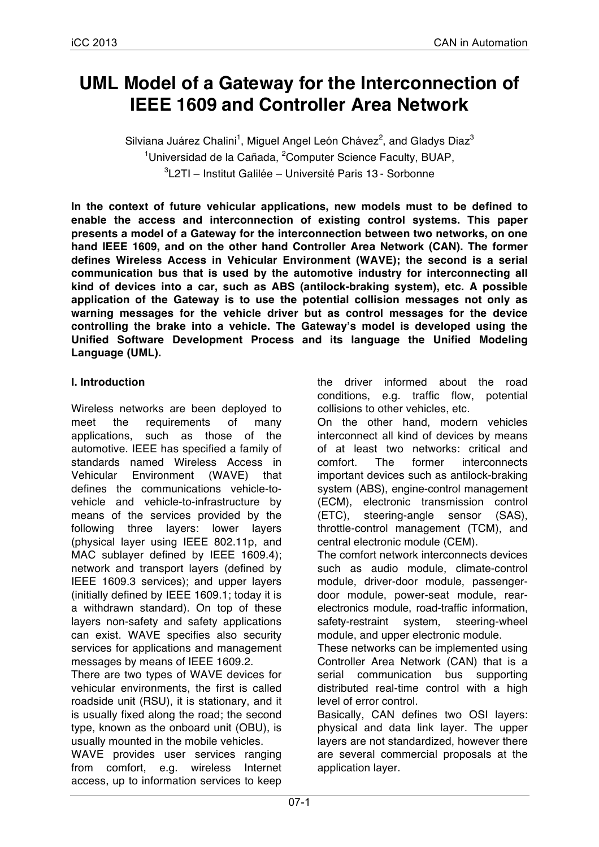# **UML Model of a Gateway for the Interconnection of IEEE 1609 and Controller Area Network**

Silviana Juárez Chalini<sup>1</sup>, Miguel Angel León Chávez<sup>2</sup>, and Gladys Diaz<sup>3</sup> <sup>1</sup>Universidad de la Cañada, <sup>2</sup>Computer Science Faculty, BUAP, 3 L2TI – Institut Galilée – Université Paris 13 - Sorbonne

**In the context of future vehicular applications, new models must to be defined to enable the access and interconnection of existing control systems. This paper presents a model of a Gateway for the interconnection between two networks, on one hand IEEE 1609, and on the other hand Controller Area Network (CAN). The former defines Wireless Access in Vehicular Environment (WAVE); the second is a serial communication bus that is used by the automotive industry for interconnecting all kind of devices into a car, such as ABS (antilock-braking system), etc. A possible application of the Gateway is to use the potential collision messages not only as warning messages for the vehicle driver but as control messages for the device controlling the brake into a vehicle. The Gateway's model is developed using the Unified Software Development Process and its language the Unified Modeling Language (UML).** 

### **I. Introduction**

Wireless networks are been deployed to meet the requirements of many applications, such as those of the automotive. IEEE has specified a family of standards named Wireless Access in Vehicular Environment (WAVE) that defines the communications vehicle-tovehicle and vehicle-to-infrastructure by means of the services provided by the following three layers: lower layers (physical layer using IEEE 802.11p, and MAC sublayer defined by IEEE 1609.4); network and transport layers (defined by IEEE 1609.3 services); and upper layers (initially defined by IEEE 1609.1; today it is a withdrawn standard). On top of these layers non-safety and safety applications can exist. WAVE specifies also security services for applications and management messages by means of IEEE 1609.2.

There are two types of WAVE devices for vehicular environments, the first is called roadside unit (RSU), it is stationary, and it is usually fixed along the road; the second type, known as the onboard unit (OBU), is usually mounted in the mobile vehicles.

WAVE provides user services ranging from comfort, e.g. wireless Internet access, up to information services to keep

the driver informed about the road conditions, e.g. traffic flow, potential collisions to other vehicles, etc.

On the other hand, modern vehicles interconnect all kind of devices by means of at least two networks: critical and comfort. The former interconnects important devices such as antilock-braking system (ABS), engine-control management (ECM), electronic transmission control (ETC), steering-angle sensor (SAS), throttle-control management (TCM), and central electronic module (CEM).

The comfort network interconnects devices such as audio module, climate-control module, driver-door module, passengerdoor module, power-seat module, rearelectronics module, road-traffic information, safety-restraint system, steering-wheel module, and upper electronic module.

These networks can be implemented using Controller Area Network (CAN) that is a serial communication bus supporting distributed real-time control with a high level of error control.

Basically, CAN defines two OSI layers: physical and data link layer. The upper layers are not standardized, however there are several commercial proposals at the application layer.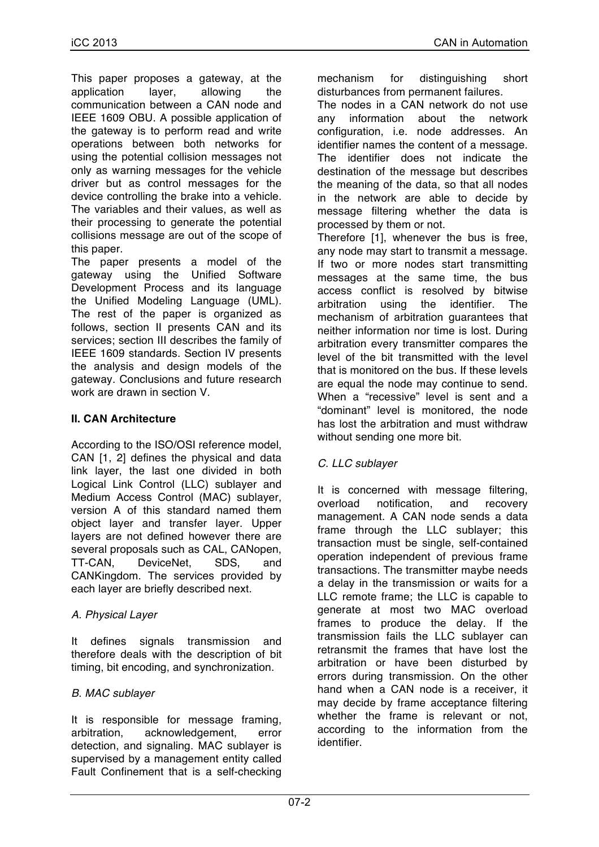This paper proposes a gateway, at the application layer, allowing the communication between a CAN node and IEEE 1609 OBU. A possible application of the gateway is to perform read and write operations between both networks for using the potential collision messages not only as warning messages for the vehicle driver but as control messages for the device controlling the brake into a vehicle. The variables and their values, as well as their processing to generate the potential collisions message are out of the scope of this paper.

The paper presents a model of the gateway using the Unified Software Development Process and its language the Unified Modeling Language (UML). The rest of the paper is organized as follows, section II presents CAN and its services; section III describes the family of IEEE 1609 standards. Section IV presents the analysis and design models of the gateway. Conclusions and future research work are drawn in section V.

### **II. CAN Architecture**

According to the ISO/OSI reference model, CAN [1, 2] defines the physical and data link layer, the last one divided in both Logical Link Control (LLC) sublayer and Medium Access Control (MAC) sublayer, version A of this standard named them object layer and transfer layer. Upper layers are not defined however there are several proposals such as CAL, CANopen, TT-CAN, DeviceNet, SDS, and CANKingdom. The services provided by each layer are briefly described next.

### *A. Physical Layer*

It defines signals transmission and therefore deals with the description of bit timing, bit encoding, and synchronization.

### *B. MAC sublayer*

It is responsible for message framing, arbitration, acknowledgement, error detection, and signaling. MAC sublayer is supervised by a management entity called Fault Confinement that is a self-checking mechanism for distinguishing short disturbances from permanent failures.

The nodes in a CAN network do not use any information about the network configuration, i.e. node addresses. An identifier names the content of a message. The identifier does not indicate the destination of the message but describes the meaning of the data, so that all nodes in the network are able to decide by message filtering whether the data is processed by them or not.

Therefore [1], whenever the bus is free, any node may start to transmit a message. If two or more nodes start transmitting messages at the same time, the bus access conflict is resolved by bitwise arbitration using the identifier. The mechanism of arbitration guarantees that neither information nor time is lost. During arbitration every transmitter compares the level of the bit transmitted with the level that is monitored on the bus. If these levels are equal the node may continue to send. When a "recessive" level is sent and a "dominant" level is monitored, the node has lost the arbitration and must withdraw without sending one more bit.

### *C. LLC sublayer*

It is concerned with message filtering, overload notification, and recovery management. A CAN node sends a data frame through the LLC sublayer; this transaction must be single, self-contained operation independent of previous frame transactions. The transmitter maybe needs a delay in the transmission or waits for a LLC remote frame; the LLC is capable to generate at most two MAC overload frames to produce the delay. If the transmission fails the LLC sublayer can retransmit the frames that have lost the arbitration or have been disturbed by errors during transmission. On the other hand when a CAN node is a receiver, it may decide by frame acceptance filtering whether the frame is relevant or not. according to the information from the identifier.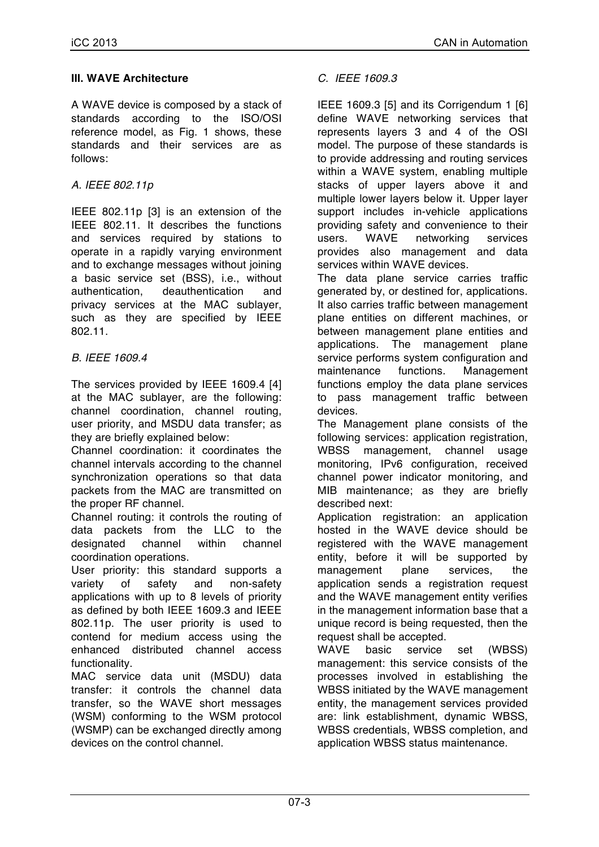### **III. WAVE Architecture**

A WAVE device is composed by a stack of standards according to the ISO/OSI reference model, as Fig. 1 shows, these standards and their services are as follows:

### *A. IEEE 802.11p*

IEEE 802.11p [3] is an extension of the IEEE 802.11. It describes the functions and services required by stations to operate in a rapidly varying environment and to exchange messages without joining a basic service set (BSS), i.e., without authentication, deauthentication and privacy services at the MAC sublayer, such as they are specified by IEEE 802.11.

### *B. IEEE 1609.4*

The services provided by IEEE 1609.4 [4] at the MAC sublayer, are the following: channel coordination, channel routing, user priority, and MSDU data transfer; as they are briefly explained below:

Channel coordination: it coordinates the channel intervals according to the channel synchronization operations so that data packets from the MAC are transmitted on the proper RF channel.

Channel routing: it controls the routing of data packets from the LLC to the designated channel within channel coordination operations.

User priority: this standard supports a variety of safety and non-safety applications with up to 8 levels of priority as defined by both IEEE 1609.3 and IEEE 802.11p. The user priority is used to contend for medium access using the enhanced distributed channel access functionality.

MAC service data unit (MSDU) data transfer: it controls the channel data transfer, so the WAVE short messages (WSM) conforming to the WSM protocol (WSMP) can be exchanged directly among devices on the control channel.

### *C. IEEE 1609.3*

IEEE 1609.3 [5] and its Corrigendum 1 [6] define WAVE networking services that represents layers 3 and 4 of the OSI model. The purpose of these standards is to provide addressing and routing services within a WAVE system, enabling multiple stacks of upper layers above it and multiple lower layers below it. Upper layer support includes in-vehicle applications providing safety and convenience to their users. WAVE networking services provides also management and data services within WAVE devices.

The data plane service carries traffic generated by, or destined for, applications. It also carries traffic between management plane entities on different machines, or between management plane entities and applications. The management plane service performs system configuration and maintenance functions. Management functions employ the data plane services to pass management traffic between devices.

The Management plane consists of the following services: application registration, WBSS management, channel usage monitoring, IPv6 configuration, received channel power indicator monitoring, and MIB maintenance; as they are briefly described next:

Application registration: an application hosted in the WAVE device should be registered with the WAVE management entity, before it will be supported by management plane services, the application sends a registration request and the WAVE management entity verifies in the management information base that a unique record is being requested, then the request shall be accepted.

WAVE basic service set (WBSS) management: this service consists of the processes involved in establishing the WBSS initiated by the WAVE management entity, the management services provided are: link establishment, dynamic WBSS, WBSS credentials, WBSS completion, and application WBSS status maintenance.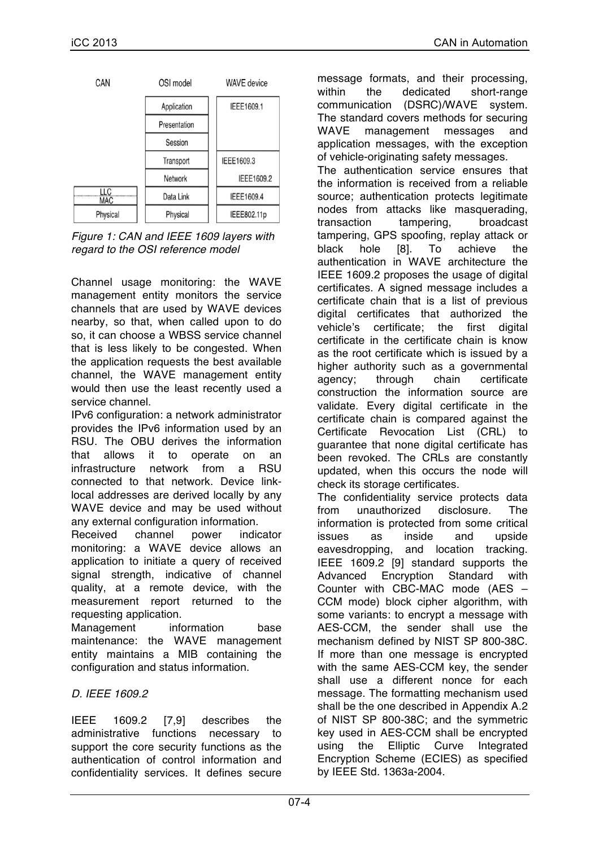| CAN         | OSI model    | <b>WAVE</b> device |
|-------------|--------------|--------------------|
|             | Application  | IEEE1609.1         |
|             | Presentation |                    |
|             | Session      |                    |
|             | Transport    | IEEE1609.3         |
|             | Network      | IEEE1609.2         |
| LLC.<br>MAC | Data Link    | IEEE1609.4         |
| Physical    | Physical     | IEEE802.11p        |

*Figure 1: CAN and IEEE 1609 layers with regard to the OSI reference model*

Channel usage monitoring: the WAVE management entity monitors the service channels that are used by WAVE devices nearby, so that, when called upon to do so, it can choose a WBSS service channel that is less likely to be congested. When the application requests the best available channel, the WAVE management entity would then use the least recently used a service channel.

IPv6 configuration: a network administrator provides the IPv6 information used by an RSU. The OBU derives the information that allows it to operate on an infrastructure network from a RSU connected to that network. Device linklocal addresses are derived locally by any WAVE device and may be used without any external configuration information.

Received channel power indicator monitoring: a WAVE device allows an application to initiate a query of received signal strength, indicative of channel quality, at a remote device, with the measurement report returned to the requesting application.

Management information base maintenance: the WAVE management entity maintains a MIB containing the configuration and status information.

## *D. IEEE 1609.2*

IEEE 1609.2 [7,9] describes the administrative functions necessary to support the core security functions as the authentication of control information and confidentiality services. It defines secure message formats, and their processing, within the dedicated short-range communication (DSRC)/WAVE system. The standard covers methods for securing WAVE management messages and application messages, with the exception of vehicle-originating safety messages. The authentication service ensures that the information is received from a reliable source; authentication protects legitimate nodes from attacks like masquerading, transaction tampering, broadcast tampering, GPS spoofing, replay attack or black hole [8]. To achieve the authentication in WAVE architecture the IEEE 1609.2 proposes the usage of digital certificates. A signed message includes a certificate chain that is a list of previous digital certificates that authorized the vehicle's certificate; the first digital certificate in the certificate chain is know as the root certificate which is issued by a higher authority such as a governmental agency; through chain certificate

construction the information source are validate. Every digital certificate in the certificate chain is compared against the Certificate Revocation List (CRL) to guarantee that none digital certificate has been revoked. The CRLs are constantly updated, when this occurs the node will check its storage certificates.

The confidentiality service protects data from unauthorized disclosure. The information is protected from some critical issues as inside and upside eavesdropping, and location tracking. IEEE 1609.2 [9] standard supports the Advanced Encryption Standard with Counter with CBC-MAC mode (AES – CCM mode) block cipher algorithm, with some variants: to encrypt a message with AES-CCM, the sender shall use the mechanism defined by NIST SP 800-38C. If more than one message is encrypted with the same AES-CCM key, the sender shall use a different nonce for each message. The formatting mechanism used shall be the one described in Appendix A.2 of NIST SP 800-38C; and the symmetric key used in AES-CCM shall be encrypted using the Elliptic Curve Integrated Encryption Scheme (ECIES) as specified by IEEE Std. 1363a-2004.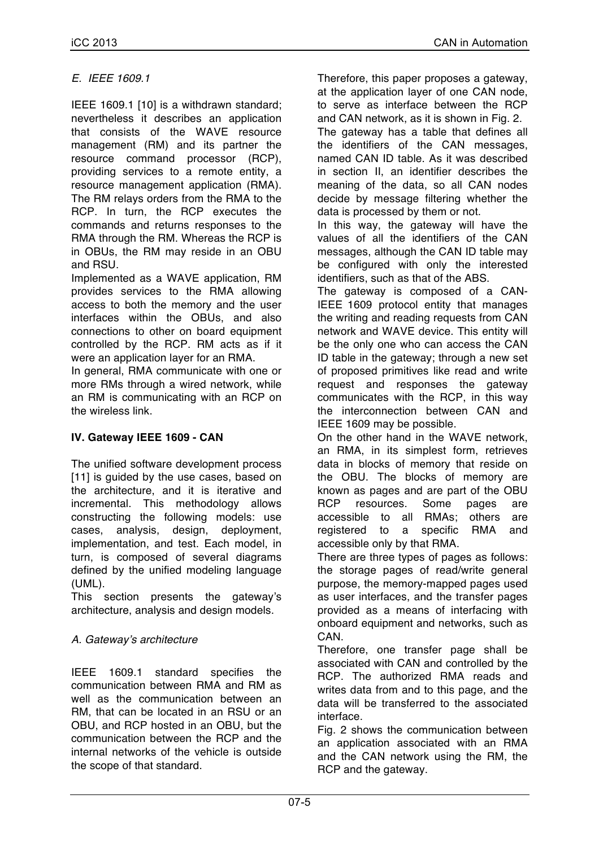### *E. IEEE 1609.1*

IEEE 1609.1 [10] is a withdrawn standard; nevertheless it describes an application that consists of the WAVE resource management (RM) and its partner the resource command processor (RCP), providing services to a remote entity, a resource management application (RMA). The RM relays orders from the RMA to the RCP. In turn, the RCP executes the commands and returns responses to the RMA through the RM. Whereas the RCP is in OBUs, the RM may reside in an OBU and RSU.

Implemented as a WAVE application, RM provides services to the RMA allowing access to both the memory and the user interfaces within the OBUs, and also connections to other on board equipment controlled by the RCP. RM acts as if it were an application layer for an RMA.

In general, RMA communicate with one or more RMs through a wired network, while an RM is communicating with an RCP on the wireless link.

### **IV. Gateway IEEE 1609 - CAN**

The unified software development process [11] is guided by the use cases, based on the architecture, and it is iterative and incremental. This methodology allows constructing the following models: use cases, analysis, design, deployment, implementation, and test. Each model, in turn, is composed of several diagrams defined by the unified modeling language (UML).

This section presents the gateway's architecture, analysis and design models.

## *A. Gateway's architecture*

IEEE 1609.1 standard specifies the communication between RMA and RM as well as the communication between an RM, that can be located in an RSU or an OBU, and RCP hosted in an OBU, but the communication between the RCP and the internal networks of the vehicle is outside the scope of that standard.

Therefore, this paper proposes a gateway, at the application layer of one CAN node, to serve as interface between the RCP and CAN network, as it is shown in Fig. 2. The gateway has a table that defines all the identifiers of the CAN messages, named CAN ID table. As it was described in section II, an identifier describes the meaning of the data, so all CAN nodes decide by message filtering whether the data is processed by them or not.

In this way, the gateway will have the values of all the identifiers of the CAN messages, although the CAN ID table may be configured with only the interested identifiers, such as that of the ABS.

The gateway is composed of a CAN-IEEE 1609 protocol entity that manages the writing and reading requests from CAN network and WAVE device. This entity will be the only one who can access the CAN ID table in the gateway; through a new set of proposed primitives like read and write request and responses the gateway communicates with the RCP, in this way the interconnection between CAN and IEEE 1609 may be possible.

On the other hand in the WAVE network, an RMA, in its simplest form, retrieves data in blocks of memory that reside on the OBU. The blocks of memory are known as pages and are part of the OBU RCP resources. Some pages are accessible to all RMAs; others are registered to a specific RMA and accessible only by that RMA.

There are three types of pages as follows: the storage pages of read/write general purpose, the memory-mapped pages used as user interfaces, and the transfer pages provided as a means of interfacing with onboard equipment and networks, such as **CAN.** 

Therefore, one transfer page shall be associated with CAN and controlled by the RCP. The authorized RMA reads and writes data from and to this page, and the data will be transferred to the associated interface.

Fig. 2 shows the communication between an application associated with an RMA and the CAN network using the RM, the RCP and the gateway.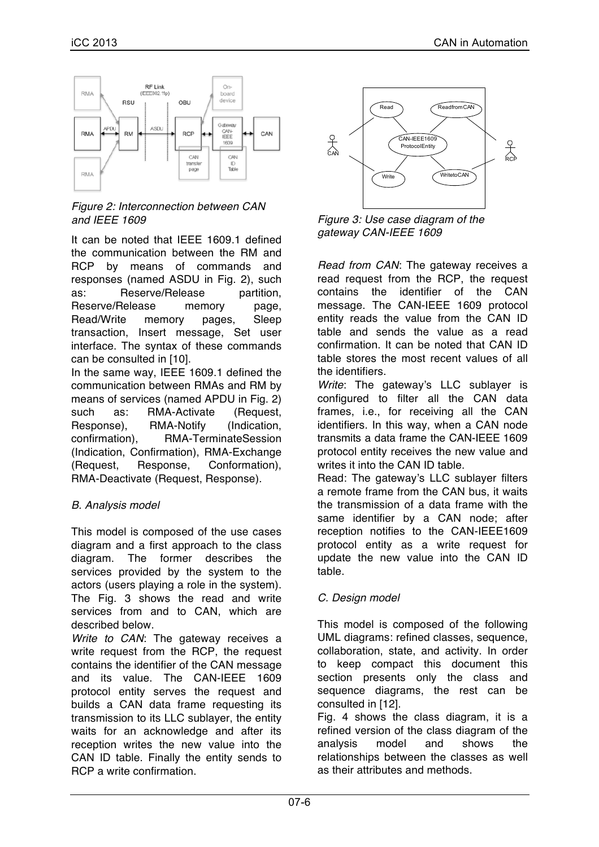

*Figure 2: Interconnection between CAN and IEEE 1609*

It can be noted that IEEE 1609.1 defined the communication between the RM and RCP by means of commands and responses (named ASDU in Fig. 2), such as: Reserve/Release partition, Reserve/Release memory page, Read/Write memory pages, Sleep transaction, Insert message, Set user interface. The syntax of these commands can be consulted in [10].

In the same way, IEEE 1609.1 defined the communication between RMAs and RM by means of services (named APDU in Fig. 2) such as: RMA-Activate (Request, Response), RMA-Notify (Indication, confirmation), RMA-TerminateSession (Indication, Confirmation), RMA-Exchange (Request, Response, Conformation), RMA-Deactivate (Request, Response).

### *B. Analysis model*

This model is composed of the use cases diagram and a first approach to the class diagram. The former describes the services provided by the system to the actors (users playing a role in the system). The Fig. 3 shows the read and write services from and to CAN, which are described below.

*Write to CAN*: The gateway receives a write request from the RCP, the request contains the identifier of the CAN message and its value. The CAN-IEEE 1609 protocol entity serves the request and builds a CAN data frame requesting its transmission to its LLC sublayer, the entity waits for an acknowledge and after its reception writes the new value into the CAN ID table. Finally the entity sends to RCP a write confirmation.



*Figure 3: Use case diagram of the gateway CAN-IEEE 1609*

*Read from CAN*: The gateway receives a read request from the RCP, the request contains the identifier of the CAN message. The CAN-IEEE 1609 protocol entity reads the value from the CAN ID table and sends the value as a read confirmation. It can be noted that CAN ID table stores the most recent values of all the identifiers.

*Write*: The gateway's LLC sublayer is configured to filter all the CAN data frames, i.e., for receiving all the CAN identifiers. In this way, when a CAN node transmits a data frame the CAN-IEEE 1609 protocol entity receives the new value and writes it into the CAN ID table.

Read: The gateway's LLC sublayer filters a remote frame from the CAN bus, it waits the transmission of a data frame with the same identifier by a CAN node; after reception notifies to the CAN-IEEE1609 protocol entity as a write request for update the new value into the CAN ID table.

### *C. Design model*

This model is composed of the following UML diagrams: refined classes, sequence, collaboration, state, and activity. In order to keep compact this document this section presents only the class and sequence diagrams, the rest can be consulted in [12].

Fig. 4 shows the class diagram, it is a refined version of the class diagram of the analysis model and shows the relationships between the classes as well as their attributes and methods.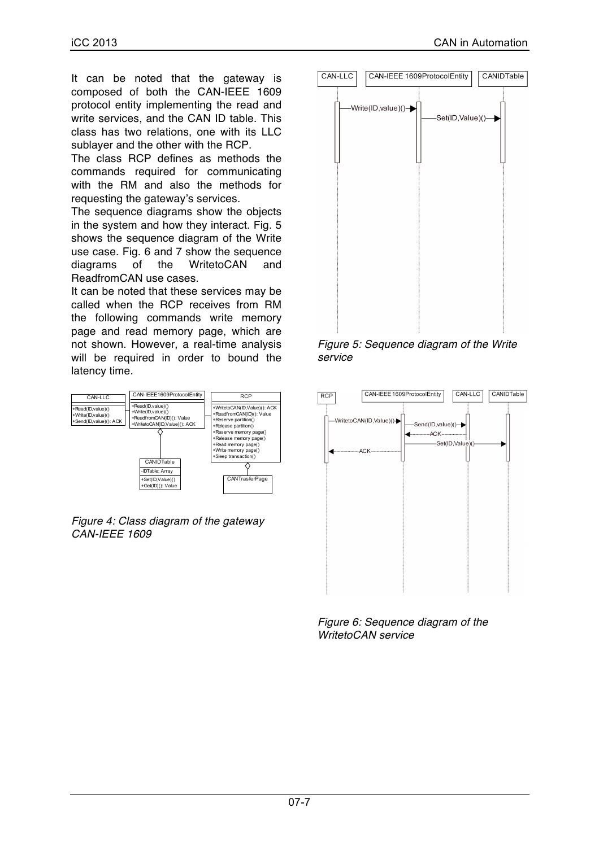It can be noted that the gateway is composed of both the CAN-IEEE 1609 protocol entity implementing the read and write services, and the CAN ID table. This class has two relations, one with its LLC sublayer and the other with the RCP.

The class RCP defines as methods the commands required for communicating with the RM and also the methods for requesting the gateway's services.

The sequence diagrams show the objects in the system and how they interact. Fig. 5 shows the sequence diagram of the Write use case. Fig. 6 and 7 show the sequence diagrams of the WritetoCAN and ReadfromCAN use cases.

It can be noted that these services may be called when the RCP receives from RM the following commands write memory page and read memory page, which are not shown. However, a real-time analysis will be required in order to bound the latency time.



*Figure 4: Class diagram of the gateway CAN-IEEE 1609*



*Figure 5: Sequence diagram of the Write service*



*Figure 6: Sequence diagram of the WritetoCAN service*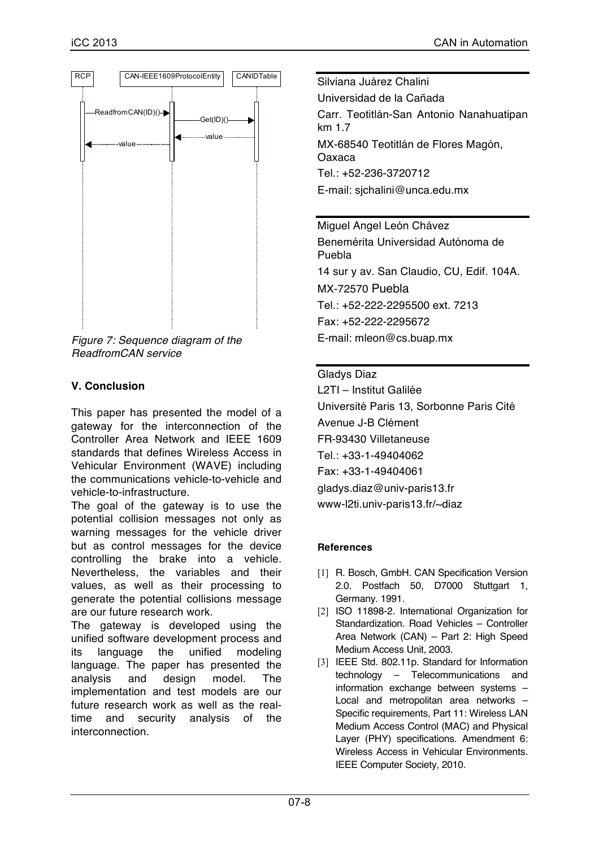

*Figure 7: Sequence diagram of the ReadfromCAN service*

### **V. Conclusion**

This paper has presented the model of a gateway for the interconnection of the Controller Area Network and IEEE 1609 standards that defines Wireless Access in Vehicular Environment (WAVE) including the communications vehicle-to-vehicle and vehicle-to-infrastructure.

The goal of the gateway is to use the potential collision messages not only as warning messages for the vehicle driver but as control messages for the device controlling the brake into a vehicle. Nevertheless, the variables and their values, as well as their processing to generate the potential collisions message are our future research work.

The gateway is developed using the unified software development process and its language the unified modeling language. The paper has presented the analysis and design model. The implementation and test models are our future research work as well as the realtime and security analysis of the interconnection.

Silviana Juárez Chalini Universidad de la Cañada Carr. Teotitlán-San Antonio Nanahuatipan km 1.7 MX-68540 Teotitlán de Flores Magón, Oaxaca Tel.: +52-236-3720712 E-mail: sjchalini@unca.edu.mx

Miguel Angel León Chávez Benemérita Universidad Autónoma de Puebla 14 sur y av. San Claudio, CU, Edif. 104A. MX-72570 Puebla Tel.: +52-222-2295500 ext. 7213 Fax: +52-222-2295672 E-mail: mleon@cs.buap.mx

### Gladys Diaz

L2TI – Institut Galilée Université Paris 13, Sorbonne Paris Cité Avenue J-B Clément FR-93430 Villetaneuse Tel.: +33-1-49404062 Fax: +33-1-49404061 gladys.diaz@univ-paris13.fr www-l2ti.univ-paris13.fr/~diaz

#### **References**

- [1] R. Bosch, GmbH. CAN Specification Version 2.0. Postfach 50, D7000 Stuttgart 1, Germany. 1991.
- [2] ISO 11898-2. International Organization for Standardization. Road Vehicles – Controller Area Network (CAN) – Part 2: High Speed Medium Access Unit, 2003.
- [3] IEEE Std. 802.11p. Standard for Information technology – Telecommunications and information exchange between systems – Local and metropolitan area networks – Specific requirements, Part 11: Wireless LAN Medium Access Control (MAC) and Physical Layer (PHY) specifications. Amendment 6: Wireless Access in Vehicular Environments. IEEE Computer Society, 2010.